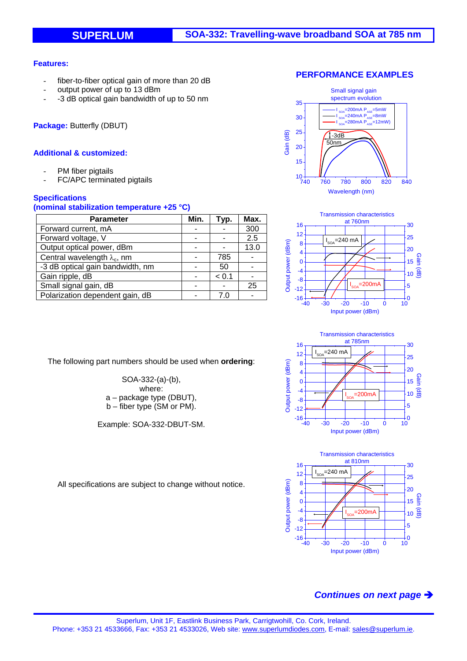### **Features:**

- fiber-to-fiber optical gain of more than 20 dB
- output power of up to 13 dBm
- -3 dB optical gain bandwidth of up to 50 nm

**Package:** Butterfly (DBUT)

## **Additional & customized:**

- PM fiber pigtails
- FC/APC terminated pigtails

## **Specifications**

### **(nominal stabilization temperature +25 °C)**

| <b>Parameter</b>                    | Min. | Typ.  | Max. |
|-------------------------------------|------|-------|------|
| Forward current, mA                 |      |       | 300  |
| Forward voltage, V                  |      |       | 2.5  |
| Output optical power, dBm           |      |       | 13.0 |
| Central wavelength $\lambda_c$ , nm |      | 785   |      |
| -3 dB optical gain bandwidth, nm    |      | 50    |      |
| Gain ripple, dB                     |      | < 0.1 |      |
| Small signal gain, dB               |      |       | 25   |
| Polarization dependent gain, dB     |      |       |      |

The following part numbers should be used when **ordering**:

SOA-332-(a)-(b), where: a – package type (DBUT), b – fiber type (SM or PM).

Example: SOA-332-DBUT-SM.









All specifications are subject to change without notice.

# *Continues on next page*

### **PERFORMANCE EXAMPLES**